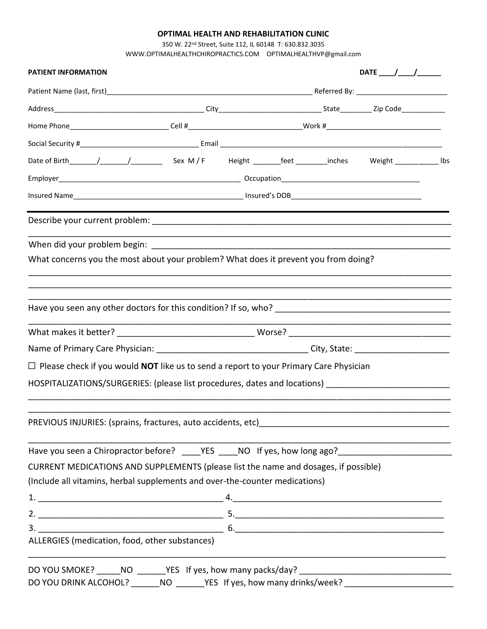# **OPTIMAL HEALTH AND REHABILITATION CLINIC**

350 W. 22nd Street, Suite 112, IL 60148 T: 630.832.3035 [WWW.OPTIMALHEALTHCHIROPRACTICS.COM](http://www.optimalhealthchiropractics.com/) OPTIMALHEALTHVP@gmail.com

| PATIENT INFORMATION                                                                                                  |  |  |  |  |  |  |  |  |
|----------------------------------------------------------------------------------------------------------------------|--|--|--|--|--|--|--|--|
|                                                                                                                      |  |  |  |  |  |  |  |  |
|                                                                                                                      |  |  |  |  |  |  |  |  |
| Home Phone_____________________________Cell #__________________________________Work #_______________________________ |  |  |  |  |  |  |  |  |
|                                                                                                                      |  |  |  |  |  |  |  |  |
| Date of Birth_______/__________/_______________Sex M/F Height ________feet _________inches Weight ____________ lbs   |  |  |  |  |  |  |  |  |
|                                                                                                                      |  |  |  |  |  |  |  |  |
|                                                                                                                      |  |  |  |  |  |  |  |  |
|                                                                                                                      |  |  |  |  |  |  |  |  |
|                                                                                                                      |  |  |  |  |  |  |  |  |
| What concerns you the most about your problem? What does it prevent you from doing?                                  |  |  |  |  |  |  |  |  |
|                                                                                                                      |  |  |  |  |  |  |  |  |
|                                                                                                                      |  |  |  |  |  |  |  |  |
|                                                                                                                      |  |  |  |  |  |  |  |  |
|                                                                                                                      |  |  |  |  |  |  |  |  |
| $\Box$ Please check if you would <b>NOT</b> like us to send a report to your Primary Care Physician                  |  |  |  |  |  |  |  |  |
| HOSPITALIZATIONS/SURGERIES: (please list procedures, dates and locations) __________________________                 |  |  |  |  |  |  |  |  |
| PREVIOUS INJURIES: (sprains, fractures, auto accidents, etc)                                                         |  |  |  |  |  |  |  |  |
| Have you seen a Chiropractor before? _____YES _____NO If yes, how long ago?_________________________                 |  |  |  |  |  |  |  |  |
| CURRENT MEDICATIONS AND SUPPLEMENTS (please list the name and dosages, if possible)                                  |  |  |  |  |  |  |  |  |
| (Include all vitamins, herbal supplements and over-the-counter medications)                                          |  |  |  |  |  |  |  |  |
|                                                                                                                      |  |  |  |  |  |  |  |  |
|                                                                                                                      |  |  |  |  |  |  |  |  |
|                                                                                                                      |  |  |  |  |  |  |  |  |
| ALLERGIES (medication, food, other substances)                                                                       |  |  |  |  |  |  |  |  |
|                                                                                                                      |  |  |  |  |  |  |  |  |
| DO YOU DRINK ALCOHOL? _______NO _______YES If yes, how many drinks/week? __________________________                  |  |  |  |  |  |  |  |  |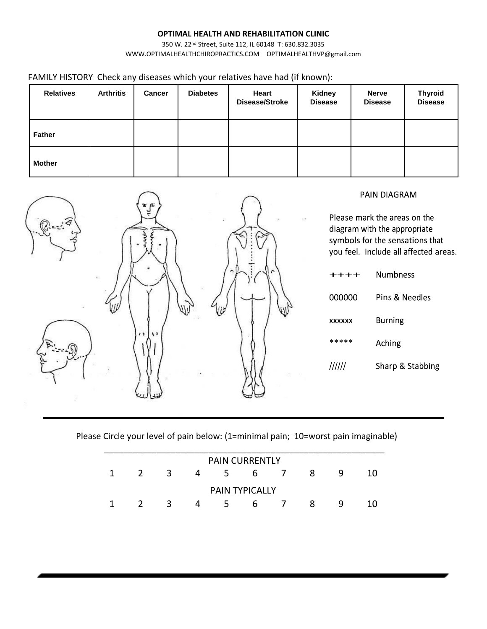# **OPTIMAL HEALTH AND REHABILITATION CLINIC**

350 W. 22nd Street, Suite 112, IL 60148 T: 630.832.3035 [WWW.OPTIMALHEALTHCHIROPRACTICS.COM](http://www.optimalhealthchiropractics.com/) OPTIMALHEALTHVP@gmail.com

FAMILY HISTORY Check any diseases which your relatives have had (if known):

| <b>Relatives</b> | <b>Arthritis</b> | <b>Cancer</b> | <b>Diabetes</b> | Heart<br>Disease/Stroke | <b>Kidney</b><br><b>Disease</b> | <b>Nerve</b><br><b>Disease</b> | <b>Thyroid</b><br><b>Disease</b> |
|------------------|------------------|---------------|-----------------|-------------------------|---------------------------------|--------------------------------|----------------------------------|
| Father           |                  |               |                 |                         |                                 |                                |                                  |
| <b>Mother</b>    |                  |               |                 |                         |                                 |                                |                                  |



Please Circle your level of pain below: (1=minimal pain; 10=worst pain imaginable)

| <b>PAIN CURRENTLY</b> |  |   |   |    |   |  |   |   |    |  |
|-----------------------|--|---|---|----|---|--|---|---|----|--|
|                       |  | 3 | 4 | 5. | b |  | 8 | q | 10 |  |
|                       |  |   |   |    |   |  |   |   |    |  |
| <b>PAIN TYPICALLY</b> |  |   |   |    |   |  |   |   |    |  |
|                       |  | 3 | Δ | 5. | h |  | 8 | q |    |  |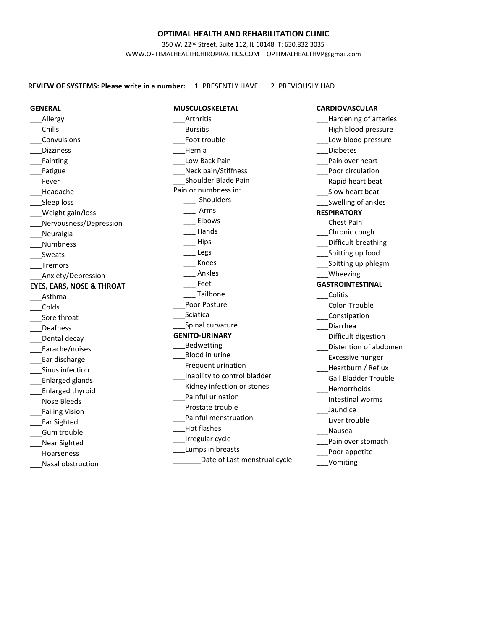### **OPTIMAL HEALTH AND REHABILITATION CLINIC**

350 W. 22nd Street, Suite 112, IL 60148 T: 630.832.3035 [WWW.OPTIMALHEALTHCHIROPRACTICS.COM](http://www.optimalhealthchiropractics.com/) OPTIMALHEALTHVP@gmail.com

**REVIEW OF SYSTEMS: Please write in a number:** 1. PRESENTLY HAVE 2. PREVIOUSLY HAD

**MUSCULOSKELETAL** \_\_\_Arthritis \_\_\_Bursitis Foot trouble \_\_\_Hernia Low Back Pain \_\_\_Neck pain/Stiffness \_\_\_Shoulder Blade Pain Pain or numbness in: \_\_\_ Shoulders \_\_\_ Arms \_\_\_ Elbows \_\_\_ Hands  $\frac{1}{2}$  Hips \_\_\_ Legs \_\_\_ Knees \_\_\_ Ankles \_\_\_ Feet \_\_\_ Tailbone Poor Posture Sciatica \_\_\_Spinal curvature **GENITO-URINARY**  \_\_\_Bedwetting \_\_\_Blood in urine \_\_\_Frequent urination \_\_\_Inability to control bladder Kidney infection or stones \_\_\_Painful urination Prostate trouble \_\_\_Painful menstruation \_\_\_Hot flashes \_\_\_Irregular cycle \_\_\_Lumps in breasts \_\_\_\_\_\_\_Date of Last menstrual cycle **CARDIOVASCULAR**  \_\_\_Hardening of arteries \_\_\_High blood pressure Low blood pressure \_\_\_Diabetes Pain over heart \_\_\_Poor circulation \_\_\_Rapid heart beat Slow heart beat Swelling of ankles **RESPIRATORY**  \_\_\_Chest Pain \_\_\_Chronic cough \_\_\_Difficult breathing \_\_\_Spitting up food Spitting up phlegm \_\_\_Wheezing **GASTROINTESTINAL**  \_\_\_Colitis \_\_\_Colon Trouble \_\_\_Constipation \_\_\_Diarrhea \_\_\_Difficult digestion \_\_\_Distention of abdomen \_\_\_Excessive hunger \_\_\_Heartburn / Reflux \_\_\_Gall Bladder Trouble \_\_\_Hemorrhoids \_\_\_Intestinal worms \_\_\_Jaundice Liver trouble \_\_\_Nausea Pain over stomach Poor appetite \_\_\_Vomiting

**GENERAL**  \_\_\_Allergy \_\_\_Chills \_\_\_Convulsions \_\_\_Dizziness \_\_\_Fainting \_\_\_Fatigue \_\_\_Fever \_\_\_Headache Sleep loss \_\_\_Weight gain/loss Nervousness/Depression **Neuralgia** \_\_\_Numbness \_\_\_Sweats \_\_\_Tremors \_\_\_Anxiety/Depression **EYES, EARS, NOSE & THROAT**  \_\_\_Asthma \_\_\_Colds \_\_\_Sore throat \_\_\_Deafness Dental decay \_\_\_Earache/noises \_\_\_Ear discharge Sinus infection \_\_\_Enlarged glands \_\_\_Enlarged thyroid \_\_\_Nose Bleeds \_\_\_Failing Vision \_\_\_Far Sighted \_\_\_Gum trouble \_\_\_Near Sighted \_\_\_Hoarseness \_\_\_Nasal obstruction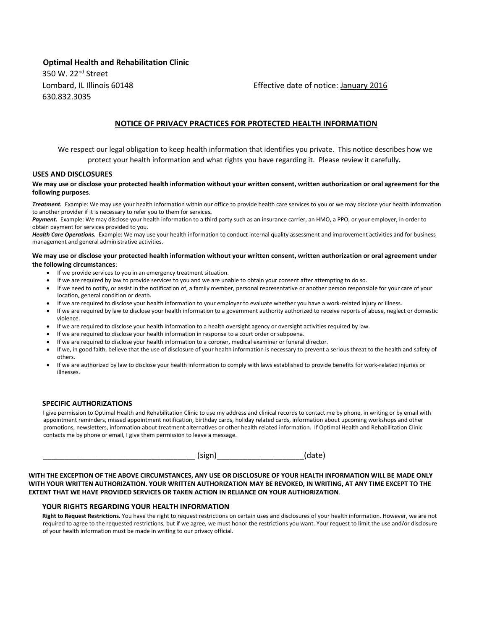# **Optimal Health and Rehabilitation Clinic**

350 W. 22nd Street 630.832.3035

Lombard, IL Illinois 60148 Effective date of notice: January 2016

# **NOTICE OF PRIVACY PRACTICES FOR PROTECTED HEALTH INFORMATION**

We respect our legal obligation to keep health information that identifies you private. This notice describes how we protect your health information and what rights you have regarding it. Please review it carefully*.* 

### **USES AND DISCLOSURES**

#### **We may use or disclose your protected health information without your written consent, written authorization or oral agreement for the following purposes**.

*Treatment.* Example: We may use your health information within our office to provide health care services to you or we may disclose your health information to another provider if it is necessary to refer you to them for services*.* 

Payment. Example: We may disclose your health information to a third party such as an insurance carrier, an HMO, a PPO, or your employer, in order to obtain payment for services provided to you.

Health Care Operations. Example: We may use your health information to conduct internal quality assessment and improvement activities and for business management and general administrative activities.

#### **We may use or disclose your protected health information without your written consent, written authorization or oral agreement under the following circumstances**:

- If we provide services to you in an emergency treatment situation.
- If we are required by law to provide services to you and we are unable to obtain your consent after attempting to do so.
- If we need to notify, or assist in the notification of, a family member, personal representative or another person responsible for your care of your location, general condition or death.
- If we are required to disclose your health information to your employer to evaluate whether you have a work-related injury or illness.
- If we are required by law to disclose your health information to a government authority authorized to receive reports of abuse, neglect or domestic violence.
- If we are required to disclose your health information to a health oversight agency or oversight activities required by law.
- If we are required to disclose your health information in response to a court order or subpoena.
- If we are required to disclose your health information to a coroner, medical examiner or funeral director.
- If we, in good faith, believe that the use of disclosure of your health information is necessary to prevent a serious threat to the health and safety of others.
- If we are authorized by law to disclose your health information to comply with laws established to provide benefits for work-related injuries or illnesses.

#### **SPECIFIC AUTHORIZATIONS**

I give permission to Optimal Health and Rehabilitation Clinic to use my address and clinical records to contact me by phone, in writing or by email with appointment reminders, missed appointment notification, birthday cards, holiday related cards, information about upcoming workshops and other promotions, newsletters, information about treatment alternatives or other health related information. If Optimal Health and Rehabilitation Clinic contacts me by phone or email, I give them permission to leave a message.

 $(sign)$  (date)

**WITH THE EXCEPTION OF THE ABOVE CIRCUMSTANCES, ANY USE OR DISCLOSURE OF YOUR HEALTH INFORMATION WILL BE MADE ONLY WITH YOUR WRITTEN AUTHORIZATION. YOUR WRITTEN AUTHORIZATION MAY BE REVOKED, IN WRITING, AT ANY TIME EXCEPT TO THE EXTENT THAT WE HAVE PROVIDED SERVICES OR TAKEN ACTION IN RELIANCE ON YOUR AUTHORIZATION**.

### **YOUR RIGHTS REGARDING YOUR HEALTH INFORMATION**

**Right to Request Restrictions.** You have the right to request restrictions on certain uses and disclosures of your health information. However, we are not required to agree to the requested restrictions, but if we agree, we must honor the restrictions you want. Your request to limit the use and/or disclosure of your health information must be made in writing to our privacy official.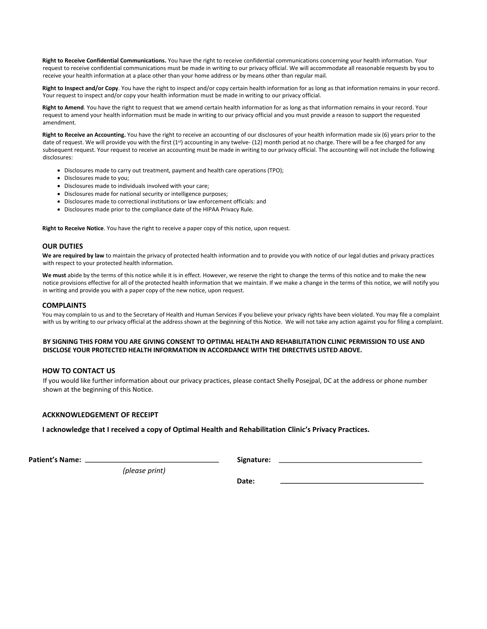**Right to Receive Confidential Communications.** You have the right to receive confidential communications concerning your health information. Your request to receive confidential communications must be made in writing to our privacy official. We will accommodate all reasonable requests by you to receive your health information at a place other than your home address or by means other than regular mail.

**Right to Inspect and/or Copy**. You have the right to inspect and/or copy certain health information for as long as that information remains in your record. Your request to inspect and/or copy your health information must be made in writing to our privacy official.

**Right to Amend***.* You have the right to request that we amend certain health information for as long as that information remains in your record. Your request to amend your health information must be made in writing to our privacy official and you must provide a reason to support the requested amendment.

**Right to Receive an Accounting.** You have the right to receive an accounting of our disclosures of your health information made six (6) years prior to the date of request. We will provide you with the first (1st) accounting in any twelve- (12) month period at no charge. There will be a fee charged for any subsequent request. Your request to receive an accounting must be made in writing to our privacy official. The accounting will not include the following disclosures:

- Disclosures made to carry out treatment, payment and health care operations (TPO);
- Disclosures made to you;
- Disclosures made to individuals involved with your care;
- Disclosures made for national security or intelligence purposes;
- Disclosures made to correctional institutions or law enforcement officials: and
- Disclosures made prior to the compliance date of the HIPAA Privacy Rule.

**Right to Receive Notice**. You have the right to receive a paper copy of this notice, upon request.

#### **OUR DUTIES**

**We are required by law** to maintain the privacy of protected health information and to provide you with notice of our legal duties and privacy practices with respect to your protected health information.

**We must** abide by the terms of this notice while it is in effect. However, we reserve the right to change the terms of this notice and to make the new notice provisions effective for all of the protected health information that we maintain. If we make a change in the terms of this notice, we will notify you in writing and provide you with a paper copy of the new notice, upon request.

#### **COMPLAINTS**

You may complain to us and to the Secretary of Health and Human Services if you believe your privacy rights have been violated. You may file a complaint with us by writing to our privacy official at the address shown at the beginning of this Notice. We will not take any action against you for filing a complaint.

#### **BY SIGNING THIS FORM YOU ARE GIVING CONSENT TO OPTIMAL HEALTH AND REHABILITATION CLINIC PERMISSION TO USE AND DISCLOSE YOUR PROTECTED HEALTH INFORMATION IN ACCORDANCE WITH THE DIRECTIVES LISTED ABOVE.**

#### **HOW TO CONTACT US**

If you would like further information about our privacy practices, please contact Shelly Posejpal, DC at the address or phone number shown at the beginning of this Notice.

### **ACKKNOWLEDGEMENT OF RECEIPT**

**I acknowledge that I received a copy of Optimal Health and Rehabilitation Clinic's Privacy Practices.** 

**Patient's Name:** 2008. 2009. **Signature:** 2009. **Signature:** 2009. **Signature:** 2009. **Signature:** 2009. **Signature:** 2009. **Signature:** 2009. **Signature:** 2009. **Signature:** 2009. **Signature:** 2009. **Signature:** 2009. **S** 

*(please print)* 

**Date: Date: Date:**